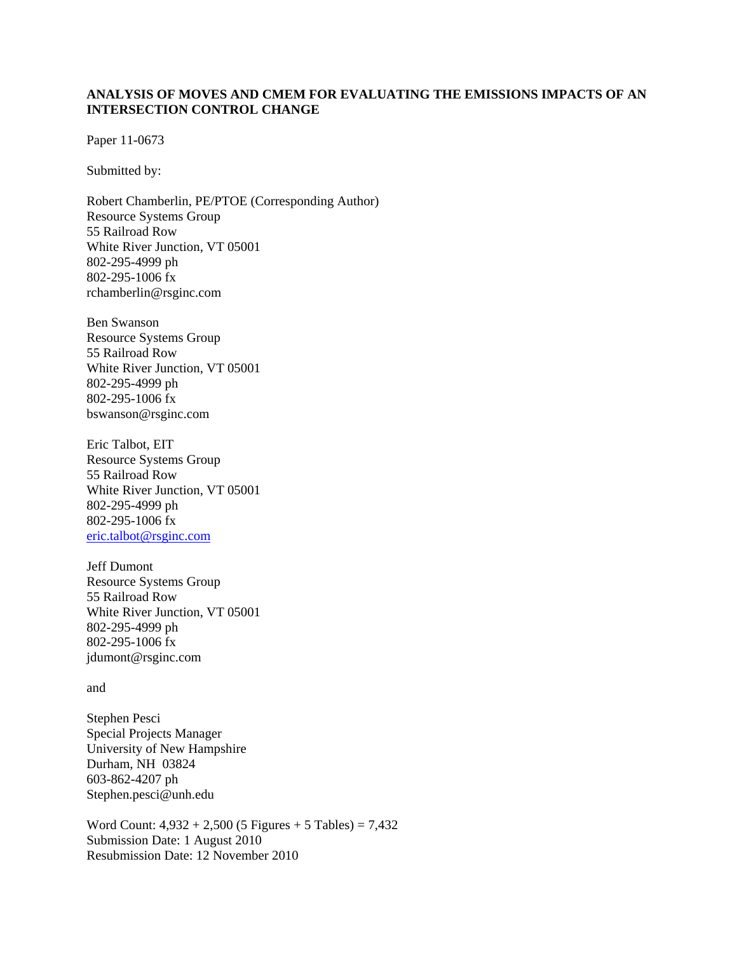## **ANALYSIS OF MOVES AND CMEM FOR EVALUATING THE EMISSIONS IMPACTS OF AN INTERSECTION CONTROL CHANGE**

Paper 11-0673

Submitted by:

Robert Chamberlin, PE/PTOE (Corresponding Author) Resource Systems Group 55 Railroad Row White River Junction, VT 05001 802-295-4999 ph 802-295-1006 fx rchamberlin@rsginc.com

Ben Swanson Resource Systems Group 55 Railroad Row White River Junction, VT 05001 802-295-4999 ph 802-295-1006 fx bswanson@rsginc.com

Eric Talbot, EIT Resource Systems Group 55 Railroad Row White River Junction, VT 05001 802-295-4999 ph 802-295-1006 fx eric.talbot@rsginc.com

Jeff Dumont Resource Systems Group 55 Railroad Row White River Junction, VT 05001 802-295-4999 ph 802-295-1006 fx jdumont@rsginc.com

and

Stephen Pesci Special Projects Manager University of New Hampshire Durham, NH 03824 603-862-4207 ph Stephen.pesci@unh.edu

Word Count:  $4,932 + 2,500$  (5 Figures + 5 Tables) = 7,432 Submission Date: 1 August 2010 Resubmission Date: 12 November 2010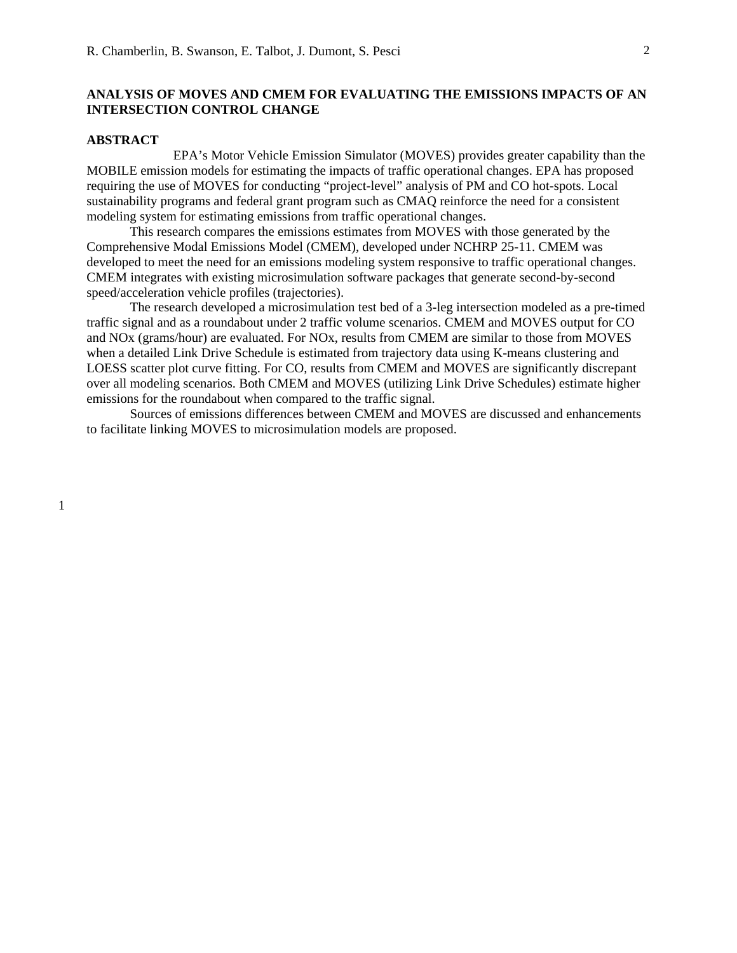#### **ANALYSIS OF MOVES AND CMEM FOR EVALUATING THE EMISSIONS IMPACTS OF AN INTERSECTION CONTROL CHANGE**

#### **ABSTRACT**

 EPA's Motor Vehicle Emission Simulator (MOVES) provides greater capability than the MOBILE emission models for estimating the impacts of traffic operational changes. EPA has proposed requiring the use of MOVES for conducting "project-level" analysis of PM and CO hot-spots. Local sustainability programs and federal grant program such as CMAQ reinforce the need for a consistent modeling system for estimating emissions from traffic operational changes.

 This research compares the emissions estimates from MOVES with those generated by the Comprehensive Modal Emissions Model (CMEM), developed under NCHRP 25-11. CMEM was developed to meet the need for an emissions modeling system responsive to traffic operational changes. CMEM integrates with existing microsimulation software packages that generate second-by-second speed/acceleration vehicle profiles (trajectories).

 The research developed a microsimulation test bed of a 3-leg intersection modeled as a pre-timed traffic signal and as a roundabout under 2 traffic volume scenarios. CMEM and MOVES output for CO and NOx (grams/hour) are evaluated. For NOx, results from CMEM are similar to those from MOVES when a detailed Link Drive Schedule is estimated from trajectory data using K-means clustering and LOESS scatter plot curve fitting. For CO, results from CMEM and MOVES are significantly discrepant over all modeling scenarios. Both CMEM and MOVES (utilizing Link Drive Schedules) estimate higher emissions for the roundabout when compared to the traffic signal.

Sources of emissions differences between CMEM and MOVES are discussed and enhancements to facilitate linking MOVES to microsimulation models are proposed.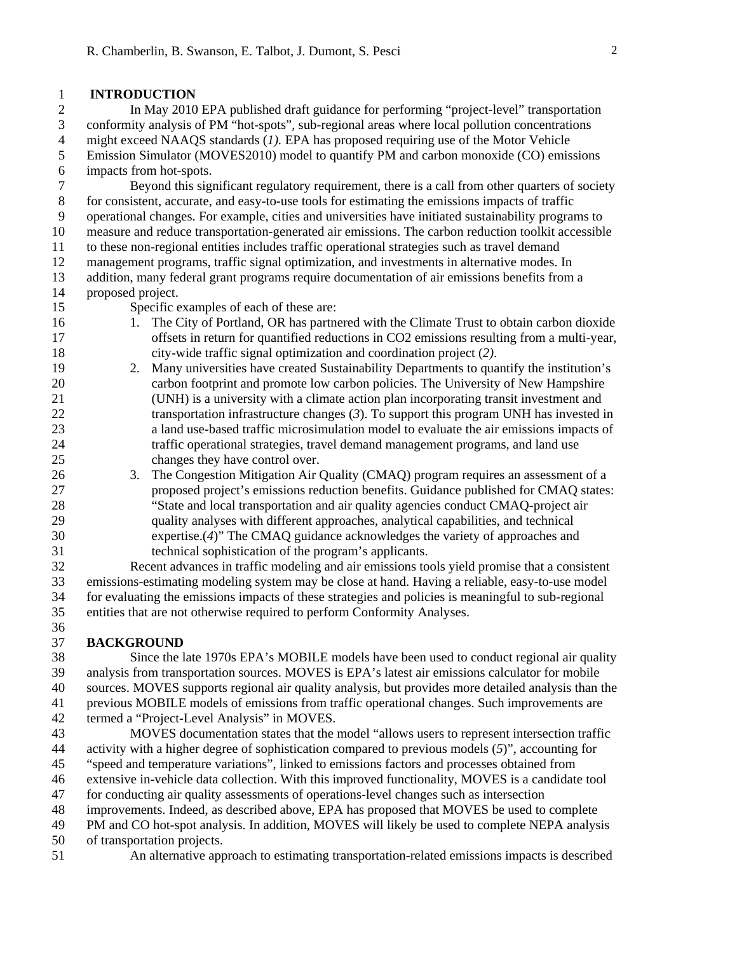#### 1 **INTRODUCTION**

2 In May 2010 EPA published draft guidance for performing "project-level" transportation 3 conformity analysis of PM "hot-spots", sub-regional areas where local pollution concentrations 4 might exceed NAAQS standards (*1).* EPA has proposed requiring use of the Motor Vehicle 5 Emission Simulator (MOVES2010) model to quantify PM and carbon monoxide (CO) emissions 6 impacts from hot-spots.

7 Beyond this significant regulatory requirement, there is a call from other quarters of society 8 for consistent, accurate, and easy-to-use tools for estimating the emissions impacts of traffic 9 operational changes. For example, cities and universities have initiated sustainability programs to 10 measure and reduce transportation-generated air emissions. The carbon reduction toolkit accessible 11 to these non-regional entities includes traffic operational strategies such as travel demand 12 management programs, traffic signal optimization, and investments in alternative modes. In 13 addition, many federal grant programs require documentation of air emissions benefits from a 14 proposed project.

- 15 Specific examples of each of these are:
- 16 1. The City of Portland, OR has partnered with the Climate Trust to obtain carbon dioxide 17 offsets in return for quantified reductions in CO2 emissions resulting from a multi-year, 18 city-wide traffic signal optimization and coordination project (*2)*.
- 19 2. Many universities have created Sustainability Departments to quantify the institution's 20 carbon footprint and promote low carbon policies. The University of New Hampshire 21 (UNH) is a university with a climate action plan incorporating transit investment and 22 transportation infrastructure changes (*3*). To support this program UNH has invested in 23 a land use-based traffic microsimulation model to evaluate the air emissions impacts of 24 traffic operational strategies, travel demand management programs, and land use 25 changes they have control over.
- 26 3. The Congestion Mitigation Air Quality (CMAQ) program requires an assessment of a 27 proposed project's emissions reduction benefits. Guidance published for CMAQ states: 28 "State and local transportation and air quality agencies conduct CMAQ-project air 29 quality analyses with different approaches, analytical capabilities, and technical 30 expertise.(*4*)" The CMAQ guidance acknowledges the variety of approaches and 31 technical sophistication of the program's applicants.

32 Recent advances in traffic modeling and air emissions tools yield promise that a consistent 33 emissions-estimating modeling system may be close at hand. Having a reliable, easy-to-use model 34 for evaluating the emissions impacts of these strategies and policies is meaningful to sub-regional 35 entities that are not otherwise required to perform Conformity Analyses.

# 37 **BACKGROUND**

36

38 Since the late 1970s EPA's MOBILE models have been used to conduct regional air quality 39 analysis from transportation sources. MOVES is EPA's latest air emissions calculator for mobile 40 sources. MOVES supports regional air quality analysis, but provides more detailed analysis than the 41 previous MOBILE models of emissions from traffic operational changes. Such improvements are 42 termed a "Project-Level Analysis" in MOVES.

43 MOVES documentation states that the model "allows users to represent intersection traffic 44 activity with a higher degree of sophistication compared to previous models (*5*)", accounting for 45 "speed and temperature variations", linked to emissions factors and processes obtained from 46 extensive in-vehicle data collection. With this improved functionality, MOVES is a candidate tool 47 for conducting air quality assessments of operations-level changes such as intersection 48 improvements. Indeed, as described above, EPA has proposed that MOVES be used to complete

49 PM and CO hot-spot analysis. In addition, MOVES will likely be used to complete NEPA analysis

- 50 of transportation projects.
- 51 An alternative approach to estimating transportation-related emissions impacts is described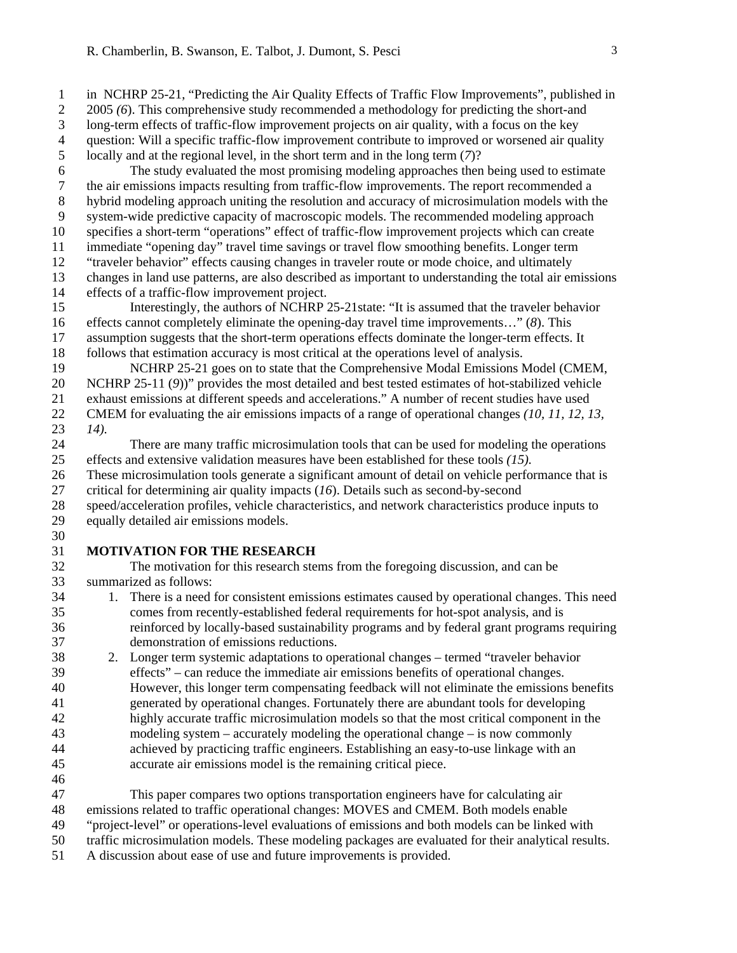1 in NCHRP 25-21, "Predicting the Air Quality Effects of Traffic Flow Improvements", published in 2 2005 (6). This comprehensive study recommended a methodology for predicting the short-and 3 long-term effects of traffic-flow improvement projects on air quality, with a focus on the key

4 question: Will a specific traffic-flow improvement contribute to improved or worsened air quality 5 locally and at the regional level, in the short term and in the long term (*7*)?

6 The study evaluated the most promising modeling approaches then being used to estimate 7 the air emissions impacts resulting from traffic-flow improvements. The report recommended a 8 hybrid modeling approach uniting the resolution and accuracy of microsimulation models with the 9 system-wide predictive capacity of macroscopic models. The recommended modeling approach 10 specifies a short-term "operations" effect of traffic-flow improvement projects which can create 11 immediate "opening day" travel time savings or travel flow smoothing benefits. Longer term 12 "traveler behavior" effects causing changes in traveler route or mode choice, and ultimately 13 changes in land use patterns, are also described as important to understanding the total air emissions 14 effects of a traffic-flow improvement project.

15 Interestingly, the authors of NCHRP 25-21state: "It is assumed that the traveler behavior 16 effects cannot completely eliminate the opening-day travel time improvements…" (*8*). This 17 assumption suggests that the short-term operations effects dominate the longer-term effects. It 18 follows that estimation accuracy is most critical at the operations level of analysis.

19 NCHRP 25-21 goes on to state that the Comprehensive Modal Emissions Model (CMEM, 20 NCHRP 25-11 (*9*))" provides the most detailed and best tested estimates of hot-stabilized vehicle

21 exhaust emissions at different speeds and accelerations." A number of recent studies have used

22 CMEM for evaluating the air emissions impacts of a range of operational changes *(10, 11, 12, 13,*  23 *14).*

24 There are many traffic microsimulation tools that can be used for modeling the operations 25 effects and extensive validation measures have been established for these tools *(15).*

26 These microsimulation tools generate a significant amount of detail on vehicle performance that is 27 critical for determining air quality impacts (*16*). Details such as second-by-second

28 speed/acceleration profiles, vehicle characteristics, and network characteristics produce inputs to 29 equally detailed air emissions models.

30

## 31 **MOTIVATION FOR THE RESEARCH**

32 The motivation for this research stems from the foregoing discussion, and can be 33 summarized as follows:

- 34 1. There is a need for consistent emissions estimates caused by operational changes. This need 35 comes from recently-established federal requirements for hot-spot analysis, and is 36 reinforced by locally-based sustainability programs and by federal grant programs requiring 37 demonstration of emissions reductions.
- 38 2. Longer term systemic adaptations to operational changes termed "traveler behavior 39 effects" – can reduce the immediate air emissions benefits of operational changes. 40 However, this longer term compensating feedback will not eliminate the emissions benefits 41 generated by operational changes. Fortunately there are abundant tools for developing 42 highly accurate traffic microsimulation models so that the most critical component in the 43 modeling system – accurately modeling the operational change – is now commonly 44 achieved by practicing traffic engineers. Establishing an easy-to-use linkage with an 45 accurate air emissions model is the remaining critical piece.
- 46

47 This paper compares two options transportation engineers have for calculating air 48 emissions related to traffic operational changes: MOVES and CMEM. Both models enable 49 "project-level" or operations-level evaluations of emissions and both models can be linked with

50 traffic microsimulation models. These modeling packages are evaluated for their analytical results.

51 A discussion about ease of use and future improvements is provided.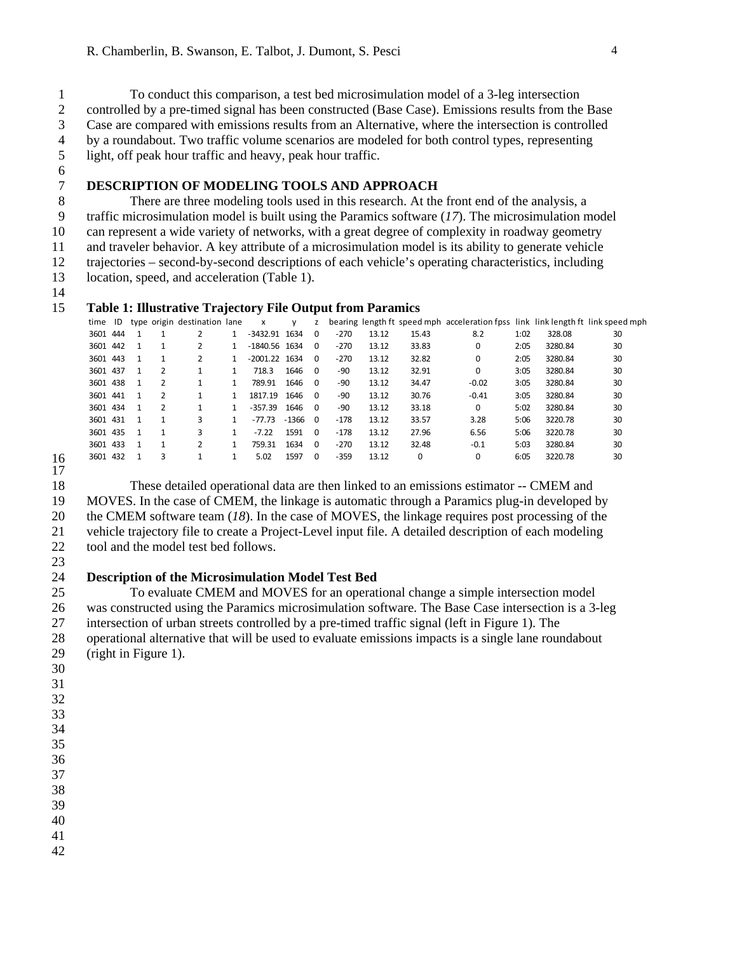1 To conduct this comparison, a test bed microsimulation model of a 3-leg intersection 2 controlled by a pre-timed signal has been constructed (Base Case). Emissions results from the Base 3 Case are compared with emissions results from an Alternative, where the intersection is controlled 4 by a roundabout. Two traffic volume scenarios are modeled for both control types, representing 5 light, off peak hour traffic and heavy, peak hour traffic.

6

# 7 **DESCRIPTION OF MODELING TOOLS AND APPROACH**

8 There are three modeling tools used in this research. At the front end of the analysis, a 9 traffic microsimulation model is built using the Paramics software (*17*). The microsimulation model 10 can represent a wide variety of networks, with a great degree of complexity in roadway geometry 11 and traveler behavior. A key attribute of a microsimulation model is its ability to generate vehicle 12 trajectories – second-by-second descriptions of each vehicle's operating characteristics, including 13 location, speed, and acceleration (Table 1).

14

## 15 **Table 1: Illustrative Trajectory File Output from Paramics**

|    | time ID  |                |               | type origin destination lane | $\mathsf{x}$    | <b>V</b> | z        |        |       |       | bearing length ft speed mph acceleration fpss link link length ft link speed mph |      |         |    |
|----|----------|----------------|---------------|------------------------------|-----------------|----------|----------|--------|-------|-------|----------------------------------------------------------------------------------|------|---------|----|
|    | 3601 444 |                |               | 2                            | $-3432.91$ 1634 |          | $\Omega$ | $-270$ | 13.12 | 15.43 | 8.2                                                                              | 1:02 | 328.08  | 30 |
|    | 3601 442 |                |               | 2                            | $-1840.56$ 1634 |          | $\Omega$ | -270   | 13.12 | 33.83 | 0                                                                                | 2:05 | 3280.84 | 30 |
|    | 3601 443 | $\mathbf{1}$   |               | 2                            | $-2001.22$ 1634 |          | $\Omega$ | $-270$ | 13.12 | 32.82 | 0                                                                                | 2:05 | 3280.84 | 30 |
|    | 3601 437 |                | 2             |                              | 718.3           | 1646     | $\Omega$ | -90    | 13.12 | 32.91 | 0                                                                                | 3:05 | 3280.84 | 30 |
|    | 3601 438 | $\mathbf{1}$   | $\mathcal{L}$ |                              | 789.91          | 1646     | - 0      | -90    | 13.12 | 34.47 | $-0.02$                                                                          | 3:05 | 3280.84 | 30 |
|    | 3601 441 | $\overline{1}$ | 2             |                              | 1817.19 1646    |          | $\Omega$ | -90    | 13.12 | 30.76 | $-0.41$                                                                          | 3:05 | 3280.84 | 30 |
|    | 3601 434 | $\overline{1}$ | 2             |                              | $-357.39$       | 1646     | $\Omega$ | -90    | 13.12 | 33.18 | 0                                                                                | 5:02 | 3280.84 | 30 |
|    | 3601 431 | $\overline{1}$ |               | 3                            | -77.73          | -1366    | $\Omega$ | -178   | 13.12 | 33.57 | 3.28                                                                             | 5:06 | 3220.78 | 30 |
|    | 3601 435 | $\overline{1}$ |               | 3                            | $-7.22$         | 1591     | $\Omega$ | -178   | 13.12 | 27.96 | 6.56                                                                             | 5:06 | 3220.78 | 30 |
|    | 3601 433 |                |               | 2                            | 759.31          | 1634     | $\Omega$ | -270   | 13.12 | 32.48 | $-0.1$                                                                           | 5:03 | 3280.84 | 30 |
| 16 | 3601 432 |                | 3             |                              | 5.02            | 1597     | $\Omega$ | $-359$ | 13.12 | 0     | 0                                                                                | 6:05 | 3220.78 | 30 |

 $\frac{16}{17}$ 

18 These detailed operational data are then linked to an emissions estimator -- CMEM and 19 MOVES. In the case of CMEM, the linkage is automatic through a Paramics plug-in developed by 20 the CMEM software team (*18*). In the case of MOVES, the linkage requires post processing of the 21 vehicle trajectory file to create a Project-Level input file. A detailed description of each modeling 22 tool and the model test bed follows.

23

# 24 **Description of the Microsimulation Model Test Bed**

25 To evaluate CMEM and MOVES for an operational change a simple intersection model 26 was constructed using the Paramics microsimulation software. The Base Case intersection is a 3-leg 27 intersection of urban streets controlled by a pre-timed traffic signal (left in Figure 1). The 28 operational alternative that will be used to evaluate emissions impacts is a single lane roundabout 29 (right in Figure 1).

- 30
- 31
- 32
- 33 34
- 35
- 36 37

38

- 39
- 40
- 41
- 42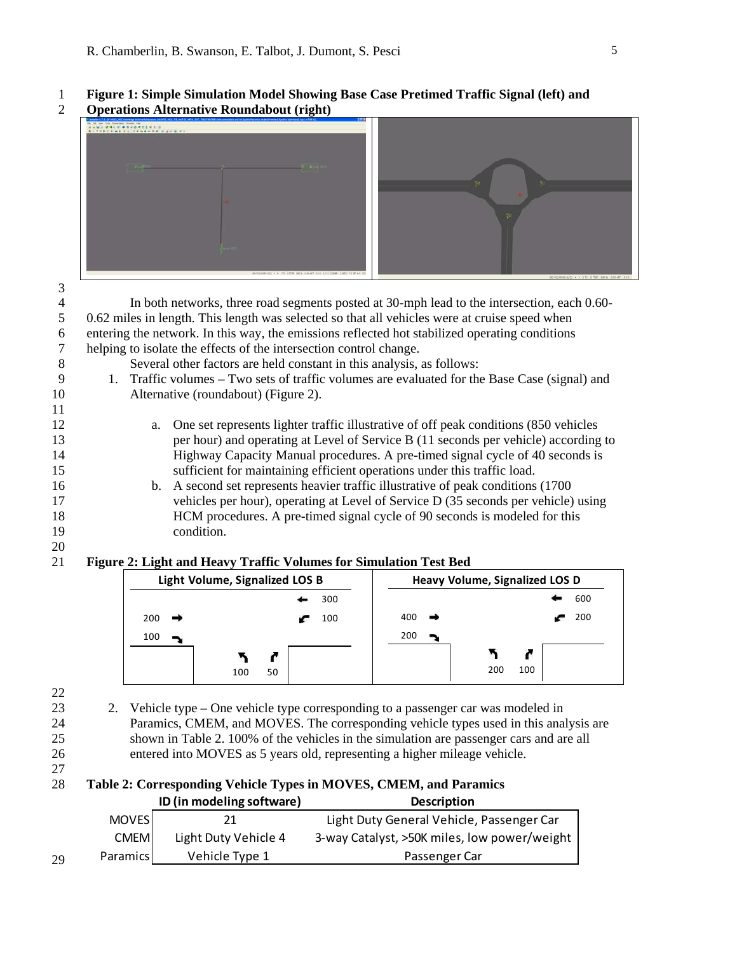# 1 **Figure 1: Simple Simulation Model Showing Base Case Pretimed Traffic Signal (left) and**

2 **Operations Alternative Roundabout (right)** 



| 3                        |    |     |                                                                                                |    |     |     |                                       |     |     |
|--------------------------|----|-----|------------------------------------------------------------------------------------------------|----|-----|-----|---------------------------------------|-----|-----|
| $\overline{\mathcal{L}}$ |    |     | In both networks, three road segments posted at 30-mph lead to the intersection, each 0.60-    |    |     |     |                                       |     |     |
| 5                        |    |     | 0.62 miles in length. This length was selected so that all vehicles were at cruise speed when  |    |     |     |                                       |     |     |
| 6                        |    |     | entering the network. In this way, the emissions reflected hot stabilized operating conditions |    |     |     |                                       |     |     |
| $\tau$                   |    |     | helping to isolate the effects of the intersection control change.                             |    |     |     |                                       |     |     |
| $8\,$                    |    |     | Several other factors are held constant in this analysis, as follows:                          |    |     |     |                                       |     |     |
| 9                        |    |     | 1. Traffic volumes – Two sets of traffic volumes are evaluated for the Base Case (signal) and  |    |     |     |                                       |     |     |
| 10                       |    |     | Alternative (roundabout) (Figure 2).                                                           |    |     |     |                                       |     |     |
| 11                       |    |     |                                                                                                |    |     |     |                                       |     |     |
| 12                       |    | a.  | One set represents lighter traffic illustrative of off peak conditions (850 vehicles           |    |     |     |                                       |     |     |
| 13                       |    |     | per hour) and operating at Level of Service B (11 seconds per vehicle) according to            |    |     |     |                                       |     |     |
| 14                       |    |     | Highway Capacity Manual procedures. A pre-timed signal cycle of 40 seconds is                  |    |     |     |                                       |     |     |
| 15                       |    |     | sufficient for maintaining efficient operations under this traffic load.                       |    |     |     |                                       |     |     |
| 16                       |    | b.  | A second set represents heavier traffic illustrative of peak conditions (1700)                 |    |     |     |                                       |     |     |
| 17                       |    |     | vehicles per hour), operating at Level of Service D (35 seconds per vehicle) using             |    |     |     |                                       |     |     |
| 18                       |    |     | HCM procedures. A pre-timed signal cycle of 90 seconds is modeled for this                     |    |     |     |                                       |     |     |
| 19                       |    |     | condition.                                                                                     |    |     |     |                                       |     |     |
| 20                       |    |     |                                                                                                |    |     |     |                                       |     |     |
| 21                       |    |     | Figure 2: Light and Heavy Traffic Volumes for Simulation Test Bed                              |    |     |     |                                       |     |     |
|                          |    |     | Light Volume, Signalized LOS B                                                                 |    |     |     | <b>Heavy Volume, Signalized LOS D</b> |     |     |
|                          |    |     |                                                                                                |    | 300 |     |                                       |     | 600 |
|                          |    | 200 |                                                                                                |    | 100 | 400 |                                       |     | 200 |
|                          |    | 100 |                                                                                                |    |     | 200 |                                       |     |     |
|                          |    |     |                                                                                                |    |     |     | ↖                                     | r   |     |
|                          |    |     | 100                                                                                            | 50 |     |     | 200                                   | 100 |     |
|                          |    |     |                                                                                                |    |     |     |                                       |     |     |
| 22<br>23                 |    |     |                                                                                                |    |     |     |                                       |     |     |
|                          | 2. |     | Vehicle type – One vehicle type corresponding to a passenger car was modeled in                |    |     |     |                                       |     |     |

- 24 Paramics, CMEM, and MOVES. The corresponding vehicle types used in this analysis are 25 shown in Table 2. 100% of the vehicles in the simulation are passenger cars and are all 26 entered into MOVES as 5 years old, representing a higher mileage vehicle.
- 27

# 28 **Table 2: Corresponding Vehicle Types in MOVES, CMEM, and Paramics ID (in modeling software) Description**

|    |              | $10$ (111 11100 CHIIS 301 CWGI C) | ,,,,,,,,,,,,,                                |
|----|--------------|-----------------------------------|----------------------------------------------|
|    | <b>MOVES</b> |                                   | Light Duty General Vehicle, Passenger Car    |
|    | <b>CMEM</b>  | Light Duty Vehicle 4              | 3-way Catalyst, >50K miles, low power/weight |
| 29 | Paramics     | Vehicle Type 1                    | Passenger Car                                |
|    |              |                                   |                                              |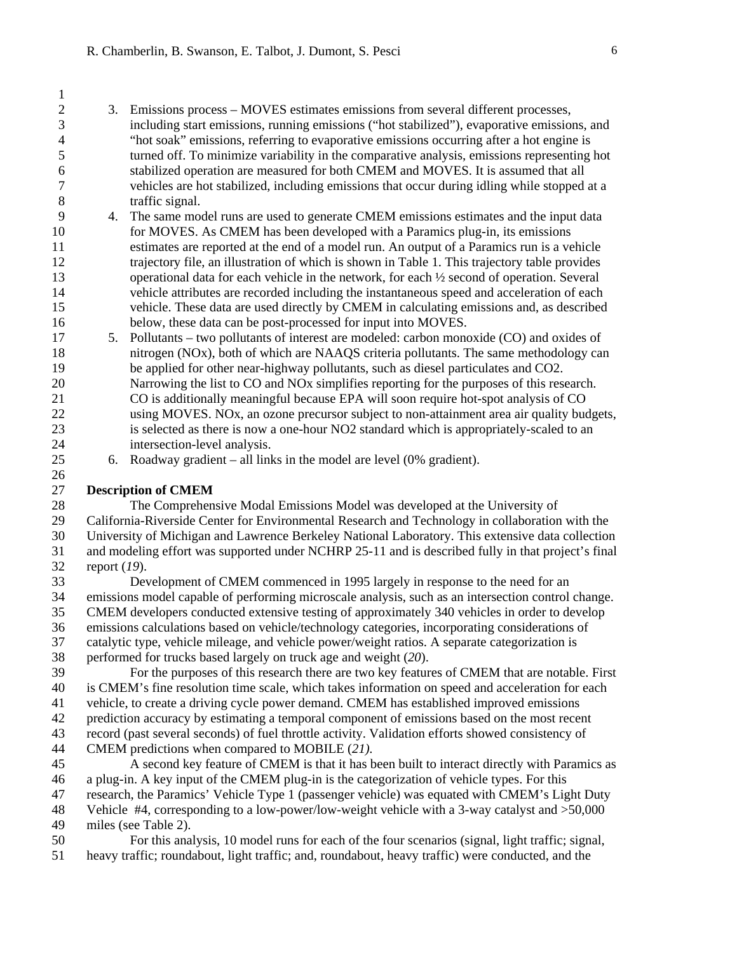- 2 3. Emissions process MOVES estimates emissions from several different processes, 3 including start emissions, running emissions ("hot stabilized"), evaporative emissions, and 4 "hot soak" emissions, referring to evaporative emissions occurring after a hot engine is 5 turned off. To minimize variability in the comparative analysis, emissions representing hot 6 stabilized operation are measured for both CMEM and MOVES. It is assumed that all 7 vehicles are hot stabilized, including emissions that occur during idling while stopped at a 8 traffic signal.
- 9 4. The same model runs are used to generate CMEM emissions estimates and the input data 10 for MOVES. As CMEM has been developed with a Paramics plug-in, its emissions 11 estimates are reported at the end of a model run. An output of a Paramics run is a vehicle 12 trajectory file, an illustration of which is shown in Table 1. This trajectory table provides 13 operational data for each vehicle in the network, for each  $\frac{1}{2}$  second of operation. Several 14 vehicle attributes are recorded including the instantaneous speed and acceleration of each 15 vehicle. These data are used directly by CMEM in calculating emissions and, as described 16 below, these data can be post-processed for input into MOVES.
- 17 5. Pollutants two pollutants of interest are modeled: carbon monoxide (CO) and oxides of 18 nitrogen (NOx), both of which are NAAQS criteria pollutants. The same methodology can 19 be applied for other near-highway pollutants, such as diesel particulates and CO2. 20 Narrowing the list to CO and NOx simplifies reporting for the purposes of this research. 21 CO is additionally meaningful because EPA will soon require hot-spot analysis of CO 22 using MOVES. NOx, an ozone precursor subject to non-attainment area air quality budgets, 23 is selected as there is now a one-hour NO2 standard which is appropriately-scaled to an 24 intersection-level analysis.
- 25 6. Roadway gradient all links in the model are level (0% gradient).

## 27 **Description of CMEM**

1

26

28 The Comprehensive Modal Emissions Model was developed at the University of 29 California-Riverside Center for Environmental Research and Technology in collaboration with the 30 University of Michigan and Lawrence Berkeley National Laboratory. This extensive data collection 31 and modeling effort was supported under NCHRP 25-11 and is described fully in that project's final 32 report (*19*).

33 Development of CMEM commenced in 1995 largely in response to the need for an 34 emissions model capable of performing microscale analysis, such as an intersection control change. 35 CMEM developers conducted extensive testing of approximately 340 vehicles in order to develop 36 emissions calculations based on vehicle/technology categories, incorporating considerations of 37 catalytic type, vehicle mileage, and vehicle power/weight ratios. A separate categorization is 38 performed for trucks based largely on truck age and weight (*20*).

39 For the purposes of this research there are two key features of CMEM that are notable. First 40 is CMEM's fine resolution time scale, which takes information on speed and acceleration for each 41 vehicle, to create a driving cycle power demand. CMEM has established improved emissions 42 prediction accuracy by estimating a temporal component of emissions based on the most recent 43 record (past several seconds) of fuel throttle activity. Validation efforts showed consistency of 44 CMEM predictions when compared to MOBILE (*21).* 45 A second key feature of CMEM is that it has been built to interact directly with Paramics as

- 46 a plug-in. A key input of the CMEM plug-in is the categorization of vehicle types. For this 47 research, the Paramics' Vehicle Type 1 (passenger vehicle) was equated with CMEM's Light Duty 48 Vehicle #4, corresponding to a low-power/low-weight vehicle with a 3-way catalyst and >50,000
- 49 miles (see Table 2).
- 50 For this analysis, 10 model runs for each of the four scenarios (signal, light traffic; signal, 51 heavy traffic; roundabout, light traffic; and, roundabout, heavy traffic) were conducted, and the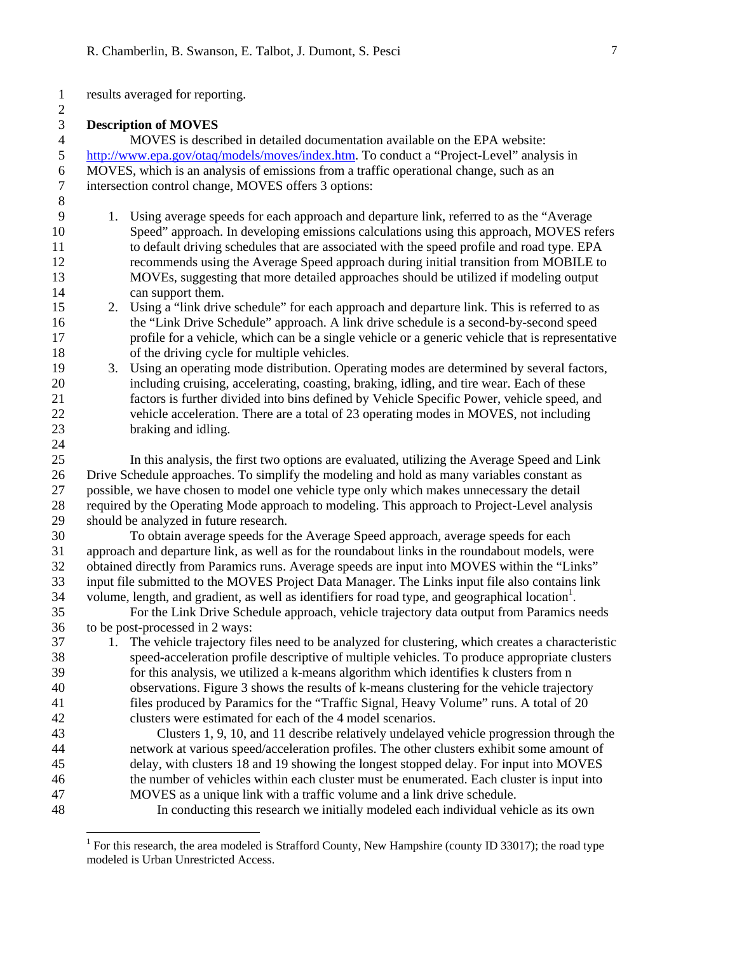1 results averaged for reporting. 2

#### 3 **Description of MOVES**

24

l

4 MOVES is described in detailed documentation available on the EPA website: 5 http://www.epa.gov/otaq/models/moves/index.htm. To conduct a "Project-Level" analysis in 6 MOVES, which is an analysis of emissions from a traffic operational change, such as an 7 intersection control change, MOVES offers 3 options: 8

- 9 1. Using average speeds for each approach and departure link, referred to as the "Average 10 Speed" approach. In developing emissions calculations using this approach, MOVES refers 11 to default driving schedules that are associated with the speed profile and road type. EPA 12 recommends using the Average Speed approach during initial transition from MOBILE to 13 MOVEs, suggesting that more detailed approaches should be utilized if modeling output 14 can support them.
- 15 2. Using a "link drive schedule" for each approach and departure link. This is referred to as 16 the "Link Drive Schedule" approach. A link drive schedule is a second-by-second speed 17 profile for a vehicle, which can be a single vehicle or a generic vehicle that is representative 18 of the driving cycle for multiple vehicles.
- 19 3. Using an operating mode distribution. Operating modes are determined by several factors, 20 including cruising, accelerating, coasting, braking, idling, and tire wear. Each of these 21 factors is further divided into bins defined by Vehicle Specific Power, vehicle speed, and 22 vehicle acceleration. There are a total of 23 operating modes in MOVES, not including 23 braking and idling.

25 In this analysis, the first two options are evaluated, utilizing the Average Speed and Link 26 Drive Schedule approaches. To simplify the modeling and hold as many variables constant as 27 possible, we have chosen to model one vehicle type only which makes unnecessary the detail 28 required by the Operating Mode approach to modeling. This approach to Project-Level analysis 29 should be analyzed in future research.

30 To obtain average speeds for the Average Speed approach, average speeds for each 31 approach and departure link, as well as for the roundabout links in the roundabout models, were 32 obtained directly from Paramics runs. Average speeds are input into MOVES within the "Links" 33 input file submitted to the MOVES Project Data Manager. The Links input file also contains link 34 volume, length, and gradient, as well as identifiers for road type, and geographical location<sup>1</sup>.

- 35 For the Link Drive Schedule approach, vehicle trajectory data output from Paramics needs 36 to be post-processed in 2 ways:
- 37 1. The vehicle trajectory files need to be analyzed for clustering, which creates a characteristic 38 speed-acceleration profile descriptive of multiple vehicles. To produce appropriate clusters 39 for this analysis, we utilized a k-means algorithm which identifies k clusters from n 40 observations. Figure 3 shows the results of k-means clustering for the vehicle trajectory 41 files produced by Paramics for the "Traffic Signal, Heavy Volume" runs. A total of 20 42 clusters were estimated for each of the 4 model scenarios.
- 43 Clusters 1, 9, 10, and 11 describe relatively undelayed vehicle progression through the 44 network at various speed/acceleration profiles. The other clusters exhibit some amount of 45 delay, with clusters 18 and 19 showing the longest stopped delay. For input into MOVES 46 the number of vehicles within each cluster must be enumerated. Each cluster is input into 47 MOVES as a unique link with a traffic volume and a link drive schedule.
- 48 In conducting this research we initially modeled each individual vehicle as its own

<sup>&</sup>lt;sup>1</sup> For this research, the area modeled is Strafford County, New Hampshire (county ID 33017); the road type modeled is Urban Unrestricted Access.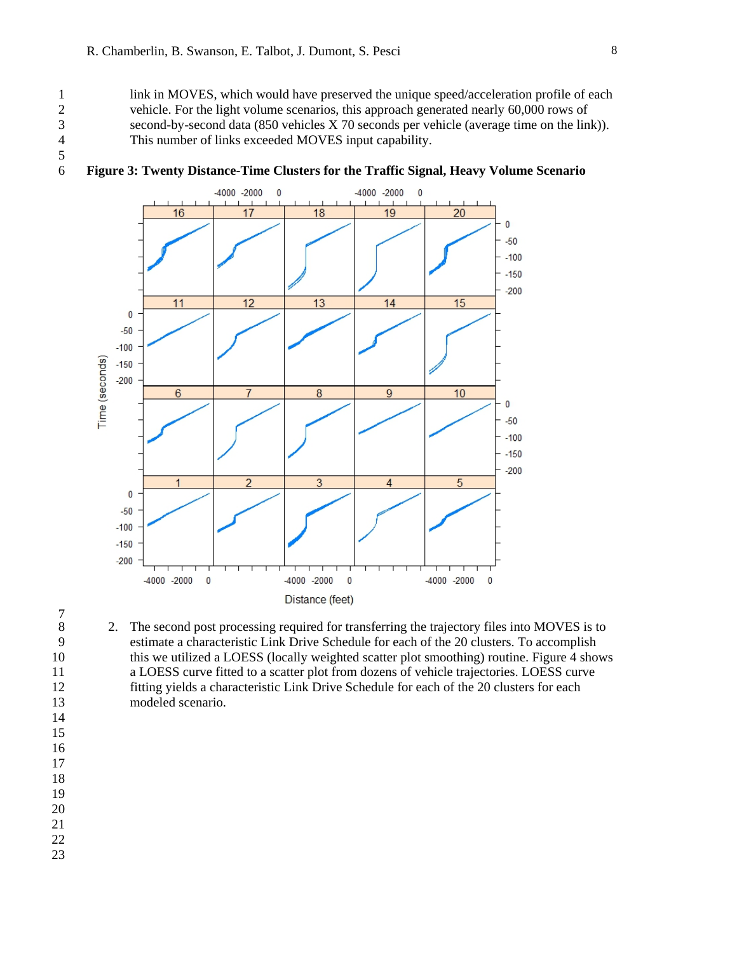5

1 link in MOVES, which would have preserved the unique speed/acceleration profile of each 2 vehicle. For the light volume scenarios, this approach generated nearly 60,000 rows of 3 second-by-second data (850 vehicles X 70 seconds per vehicle (average time on the link)).<br>4 This number of links exceeded MOVES input capability. This number of links exceeded MOVES input capability.



## 6 **Figure 3: Twenty Distance-Time Clusters for the Traffic Signal, Heavy Volume Scenario**

- 8 2. The second post processing required for transferring the trajectory files into MOVES is to 9 estimate a characteristic Link Drive Schedule for each of the 20 clusters. To accomplish 10 this we utilized a LOESS (locally weighted scatter plot smoothing) routine. Figure 4 shows 11 a LOESS curve fitted to a scatter plot from dozens of vehicle trajectories. LOESS curve 12 fitting yields a characteristic Link Drive Schedule for each of the 20 clusters for each 13 modeled scenario.
- $7\over 8$
- 
- 
- 14 15
- 16
- 17 18
- 19
- 20
- 21
- 22
- 23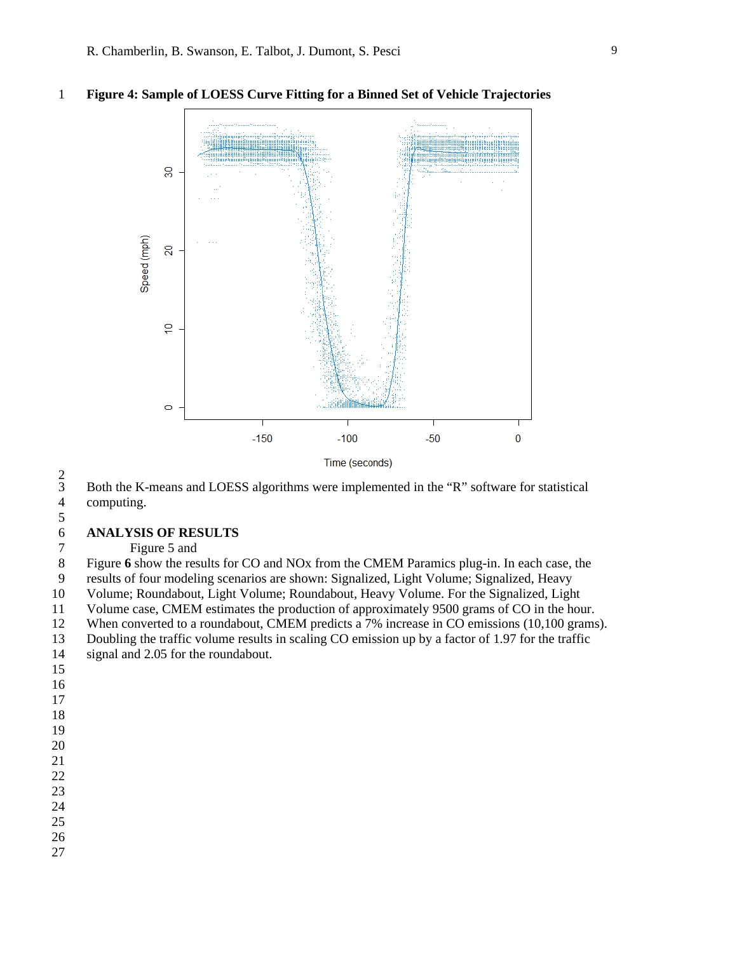

#### 1 **Figure 4: Sample of LOESS Curve Fitting for a Binned Set of Vehicle Trajectories**

 $rac{2}{3}$ 3 Both the K-means and LOESS algorithms were implemented in the "R" software for statistical computing.

# $\frac{5}{6}$

# 6 **ANALYSIS OF RESULTS**

7 Figure 5 and

8 Figure **6** show the results for CO and NOx from the CMEM Paramics plug-in. In each case, the 9 results of four modeling scenarios are shown: Signalized, Light Volume; Signalized, Heavy 10 Volume; Roundabout, Light Volume; Roundabout, Heavy Volume. For the Signalized, Light 11 Volume case, CMEM estimates the production of approximately 9500 grams of CO in the hour.

12 When converted to a roundabout, CMEM predicts a 7% increase in CO emissions (10,100 grams). 13 Doubling the traffic volume results in scaling CO emission up by a factor of 1.97 for the traffic

14 signal and 2.05 for the roundabout.

- 15
- 16
- 17
- 18
- 19
- 20 21
- 22
- 23
- 24
- 25
- 26
- 27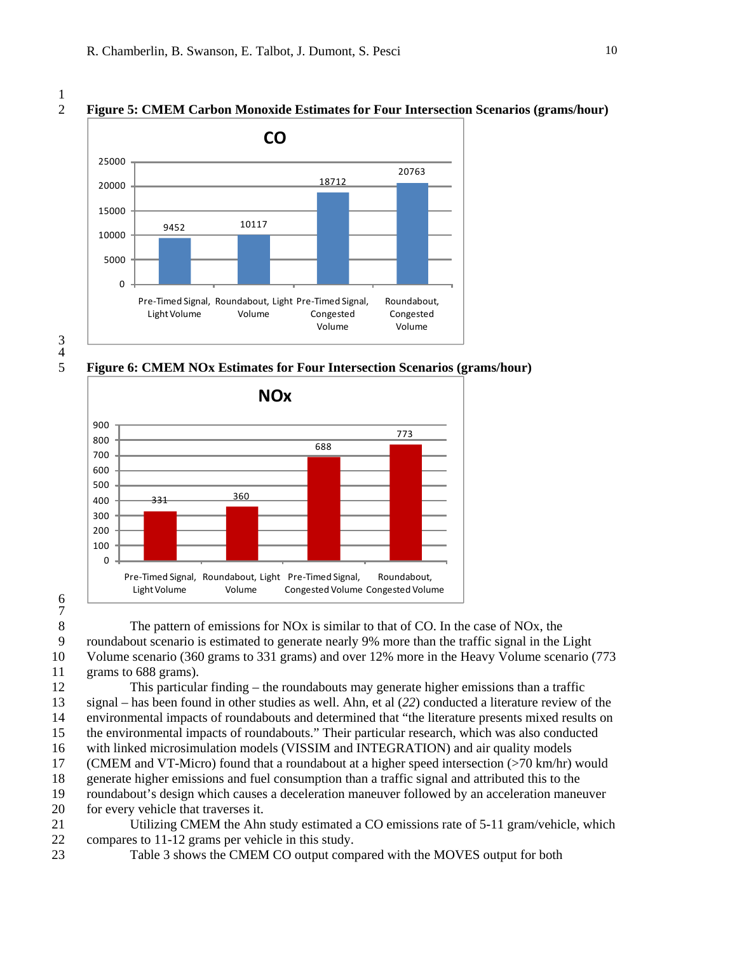#### 2 **Figure 5: CMEM Carbon Monoxide Estimates for Four Intersection Scenarios (grams/hour)**



3  $\frac{4}{5}$ 

5 **Figure 6: CMEM NOx Estimates for Four Intersection Scenarios (grams/hour)** 



6 7

8 The pattern of emissions for NOx is similar to that of CO. In the case of NOx, the 9 roundabout scenario is estimated to generate nearly 9% more than the traffic signal in the Light

10 Volume scenario (360 grams to 331 grams) and over 12% more in the Heavy Volume scenario (773 11 grams to 688 grams).

12 This particular finding – the roundabouts may generate higher emissions than a traffic 13 signal – has been found in other studies as well. Ahn, et al (*22*) conducted a literature review of the 14 environmental impacts of roundabouts and determined that "the literature presents mixed results on 15 the environmental impacts of roundabouts." Their particular research, which was also conducted 16 with linked microsimulation models (VISSIM and INTEGRATION) and air quality models 17 (CMEM and VT-Micro) found that a roundabout at a higher speed intersection (>70 km/hr) would 18 generate higher emissions and fuel consumption than a traffic signal and attributed this to the

19 roundabout's design which causes a deceleration maneuver followed by an acceleration maneuver

- 20 for every vehicle that traverses it.
- 21 Utilizing CMEM the Ahn study estimated a CO emissions rate of 5-11 gram/vehicle, which 22 compares to 11-12 grams per vehicle in this study.
- 23 Table 3 shows the CMEM CO output compared with the MOVES output for both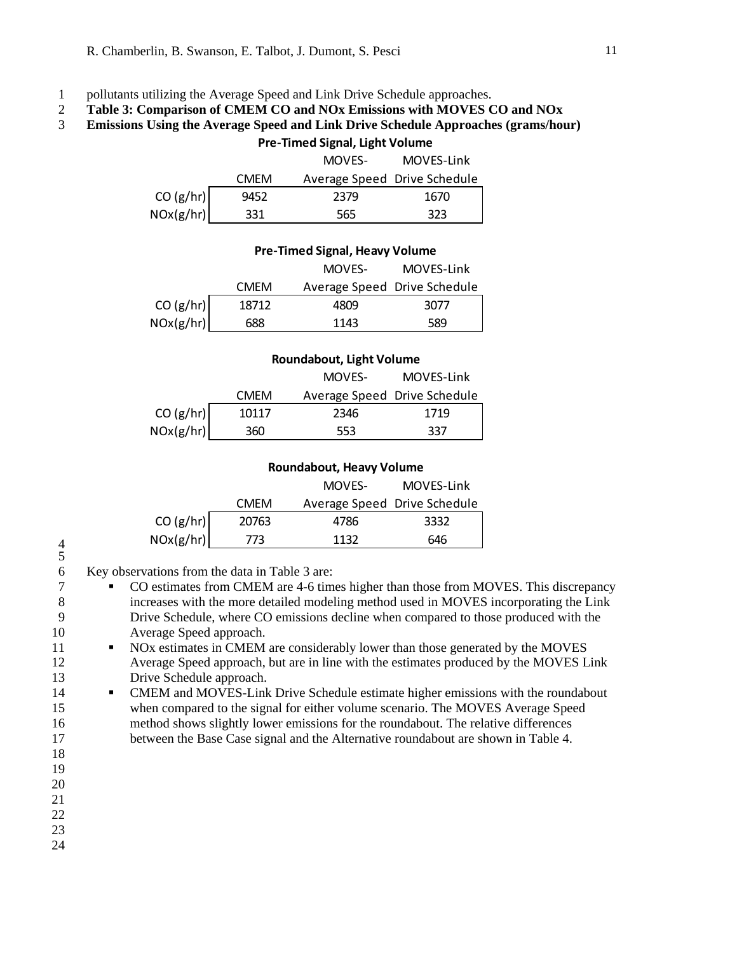## 1 pollutants utilizing the Average Speed and Link Drive Schedule approaches.

2 **Table 3: Comparison of CMEM CO and NOx Emissions with MOVES CO and NOx** 

#### 3 **Emissions Using the Average Speed and Link Drive Schedule Approaches (grams/hour)**

|                          |             | <b>Pre-Timed Signal, Light Volume</b> |            |
|--------------------------|-------------|---------------------------------------|------------|
|                          |             | MOVES-                                | MOVES-Link |
|                          | <b>CMEM</b> | Average Speed Drive Schedule          |            |
| $CO (g/hr)$<br>NOx(g/hr) | 9452        | 2379                                  | 1670       |
|                          | 331         | 565                                   | 323        |

|                          |             | <b>Pre-Timed Signal, Heavy Volume</b> |            |
|--------------------------|-------------|---------------------------------------|------------|
|                          |             | MOVES-                                | MOVES-Link |
|                          | <b>CMFM</b> | Average Speed Drive Schedule          |            |
| $CO (g/hr)$<br>NOx(g/hr) | 18712       | 4809                                  | 3077       |
|                          | 688         | 1143                                  | 589        |

#### **Roundabout, Light Volume**

|           |             | MOVES-                       | MOVES-Link |
|-----------|-------------|------------------------------|------------|
|           | <b>CMFM</b> | Average Speed Drive Schedule |            |
| CO (g/hr) | 10117       | 2346                         | 1719       |
| NOx(g/hr) | 360         | 553                          | 337        |

#### **Roundabout, Heavy Volume**

|           |             | MOVES-                       | MOVES-Link |
|-----------|-------------|------------------------------|------------|
|           | <b>CMFM</b> | Average Speed Drive Schedule |            |
| CO (g/hr) | 20763       | 4786                         | 3332       |
| NOx(g/hr) | 773         | 1132                         | 646        |

6 Key observations from the data in Table 3 are:

- 7 CO estimates from CMEM are 4-6 times higher than those from MOVES. This discrepancy 8 increases with the more detailed modeling method used in MOVES incorporating the Link 9 Drive Schedule, where CO emissions decline when compared to those produced with the 10 Average Speed approach.
- 11 NOx estimates in CMEM are considerably lower than those generated by the MOVES 12 Average Speed approach, but are in line with the estimates produced by the MOVES Link 13 Drive Schedule approach.
- 14 CMEM and MOVES-Link Drive Schedule estimate higher emissions with the roundabout 15 when compared to the signal for either volume scenario. The MOVES Average Speed 16 method shows slightly lower emissions for the roundabout. The relative differences 17 between the Base Case signal and the Alternative roundabout are shown in Table 4.
- 18 19
- 20
- 21
- 22
- 23
- 24

<sup>4</sup>  5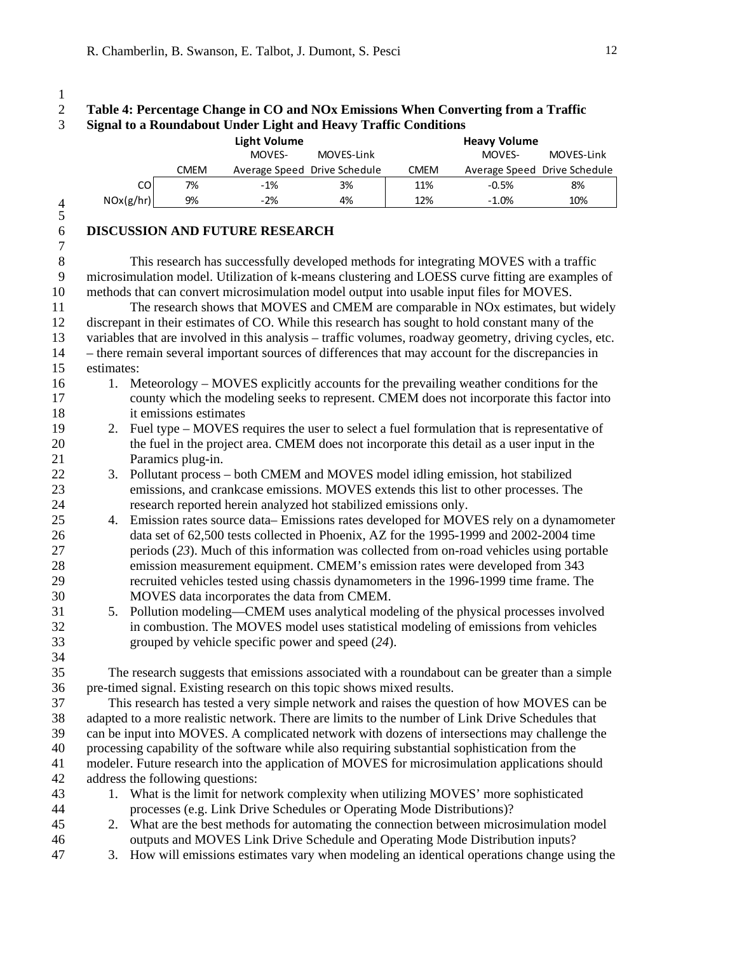$\frac{1}{2}$ 

# 2 **Table 4: Percentage Change in CO and NOx Emissions When Converting from a Traffic**  3 **Signal to a Roundabout Under Light and Heavy Traffic Conditions**

|                |            |    |                                  | <b>Light Volume</b>                                                                                                                                                                              |            |             | <b>Heavy Volume</b>          |            |
|----------------|------------|----|----------------------------------|--------------------------------------------------------------------------------------------------------------------------------------------------------------------------------------------------|------------|-------------|------------------------------|------------|
|                |            |    |                                  | MOVES-                                                                                                                                                                                           | MOVES-Link |             | MOVES-                       | MOVES-Link |
|                |            |    | <b>CMEM</b>                      | Average Speed Drive Schedule                                                                                                                                                                     |            | <b>CMEM</b> | Average Speed Drive Schedule |            |
|                |            | CO | 7%                               | $-1%$                                                                                                                                                                                            | 3%         | 11%         | $-0.5%$                      | 8%         |
| $\overline{4}$ | NOx(g/hr)  |    | 9%                               | $-2%$                                                                                                                                                                                            | 4%         | 12%         | $-1.0%$                      | 10%        |
| 5              |            |    |                                  |                                                                                                                                                                                                  |            |             |                              |            |
| 6              |            |    |                                  | <b>DISCUSSION AND FUTURE RESEARCH</b>                                                                                                                                                            |            |             |                              |            |
| $\overline{7}$ |            |    |                                  |                                                                                                                                                                                                  |            |             |                              |            |
| $\,8\,$        |            |    |                                  | This research has successfully developed methods for integrating MOVES with a traffic                                                                                                            |            |             |                              |            |
| 9              |            |    |                                  | microsimulation model. Utilization of k-means clustering and LOESS curve fitting are examples of                                                                                                 |            |             |                              |            |
| 10             |            |    |                                  | methods that can convert microsimulation model output into usable input files for MOVES.                                                                                                         |            |             |                              |            |
| 11             |            |    |                                  | The research shows that MOVES and CMEM are comparable in NOx estimates, but widely                                                                                                               |            |             |                              |            |
| 12             |            |    |                                  | discrepant in their estimates of CO. While this research has sought to hold constant many of the                                                                                                 |            |             |                              |            |
| 13             |            |    |                                  | variables that are involved in this analysis - traffic volumes, roadway geometry, driving cycles, etc.                                                                                           |            |             |                              |            |
| 14             |            |    |                                  | - there remain several important sources of differences that may account for the discrepancies in                                                                                                |            |             |                              |            |
| 15             | estimates: |    |                                  |                                                                                                                                                                                                  |            |             |                              |            |
| 16             | 1.         |    |                                  | Meteorology – MOVES explicitly accounts for the prevailing weather conditions for the                                                                                                            |            |             |                              |            |
| 17             |            |    |                                  | county which the modeling seeks to represent. CMEM does not incorporate this factor into                                                                                                         |            |             |                              |            |
| 18             |            |    | it emissions estimates           |                                                                                                                                                                                                  |            |             |                              |            |
| 19             | 2.         |    |                                  | Fuel type – MOVES requires the user to select a fuel formulation that is representative of                                                                                                       |            |             |                              |            |
| 20             |            |    |                                  | the fuel in the project area. CMEM does not incorporate this detail as a user input in the                                                                                                       |            |             |                              |            |
| 21             |            |    | Paramics plug-in.                |                                                                                                                                                                                                  |            |             |                              |            |
| 22             | 3.         |    |                                  | Pollutant process – both CMEM and MOVES model idling emission, hot stabilized                                                                                                                    |            |             |                              |            |
| 23             |            |    |                                  | emissions, and crankcase emissions. MOVES extends this list to other processes. The                                                                                                              |            |             |                              |            |
| 24             |            |    |                                  | research reported herein analyzed hot stabilized emissions only.                                                                                                                                 |            |             |                              |            |
| 25             | 4.         |    |                                  | Emission rates source data–Emissions rates developed for MOVES rely on a dynamometer                                                                                                             |            |             |                              |            |
| 26             |            |    |                                  | data set of 62,500 tests collected in Phoenix, AZ for the 1995-1999 and 2002-2004 time                                                                                                           |            |             |                              |            |
| 27             |            |    |                                  | periods $(23)$ . Much of this information was collected from on-road vehicles using portable                                                                                                     |            |             |                              |            |
| 28             |            |    |                                  | emission measurement equipment. CMEM's emission rates were developed from 343                                                                                                                    |            |             |                              |            |
| 29             |            |    |                                  | recruited vehicles tested using chassis dynamometers in the 1996-1999 time frame. The                                                                                                            |            |             |                              |            |
| 30             |            |    |                                  | MOVES data incorporates the data from CMEM.                                                                                                                                                      |            |             |                              |            |
| 31             | 5.         |    |                                  | Pollution modeling-CMEM uses analytical modeling of the physical processes involved                                                                                                              |            |             |                              |            |
| 32             |            |    |                                  | in combustion. The MOVES model uses statistical modeling of emissions from vehicles                                                                                                              |            |             |                              |            |
| 33             |            |    |                                  | grouped by vehicle specific power and speed (24).                                                                                                                                                |            |             |                              |            |
| 34             |            |    |                                  |                                                                                                                                                                                                  |            |             |                              |            |
| 35             |            |    |                                  | The research suggests that emissions associated with a roundabout can be greater than a simple                                                                                                   |            |             |                              |            |
| 36             |            |    |                                  | pre-timed signal. Existing research on this topic shows mixed results.                                                                                                                           |            |             |                              |            |
| 37             |            |    |                                  | This research has tested a very simple network and raises the question of how MOVES can be                                                                                                       |            |             |                              |            |
| 38             |            |    |                                  | adapted to a more realistic network. There are limits to the number of Link Drive Schedules that                                                                                                 |            |             |                              |            |
| 39             |            |    |                                  | can be input into MOVES. A complicated network with dozens of intersections may challenge the                                                                                                    |            |             |                              |            |
| 40             |            |    |                                  | processing capability of the software while also requiring substantial sophistication from the<br>modeler. Future research into the application of MOVES for microsimulation applications should |            |             |                              |            |
| 41             |            |    |                                  |                                                                                                                                                                                                  |            |             |                              |            |
| 42             |            |    | address the following questions: |                                                                                                                                                                                                  |            |             |                              |            |
| 43<br>44       |            |    |                                  | 1. What is the limit for network complexity when utilizing MOVES' more sophisticated<br>processes (e.g. Link Drive Schedules or Operating Mode Distributions)?                                   |            |             |                              |            |
| 45             | 2.         |    |                                  | What are the best methods for automating the connection between microsimulation model                                                                                                            |            |             |                              |            |
| 46             |            |    |                                  | outputs and MOVES Link Drive Schedule and Operating Mode Distribution inputs?                                                                                                                    |            |             |                              |            |
|                |            |    |                                  |                                                                                                                                                                                                  |            |             |                              |            |

47 3. How will emissions estimates vary when modeling an identical operations change using the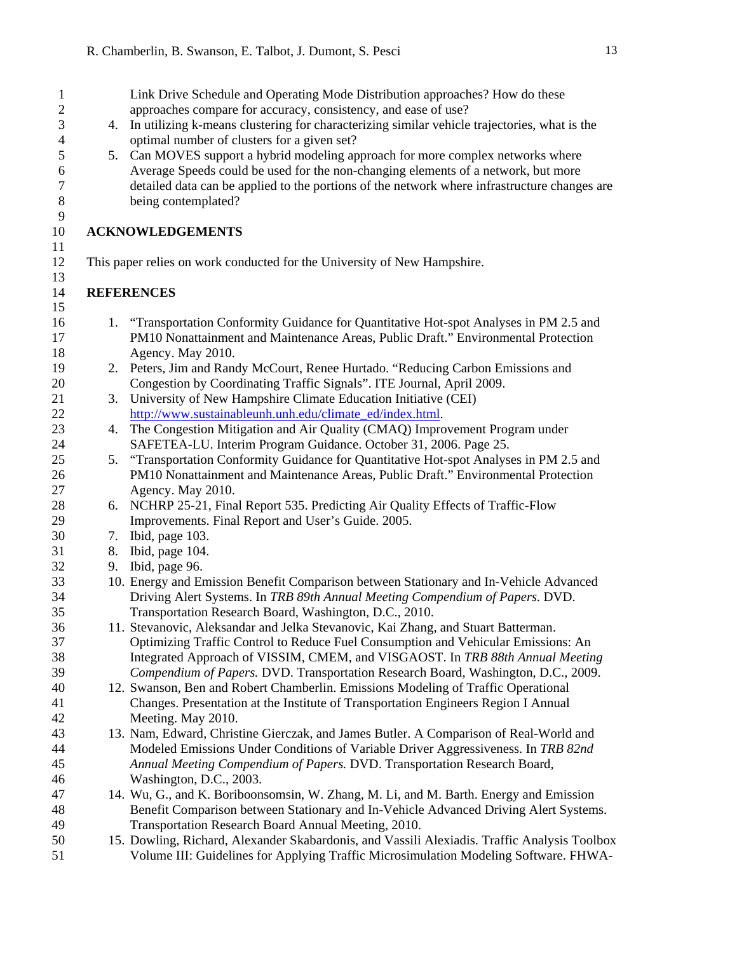| $\mathbf{1}$   |    | Link Drive Schedule and Operating Mode Distribution approaches? How do these                 |
|----------------|----|----------------------------------------------------------------------------------------------|
| $\mathbf{2}$   |    | approaches compare for accuracy, consistency, and ease of use?                               |
| 3              | 4. | In utilizing k-means clustering for characterizing similar vehicle trajectories, what is the |
| 4              |    | optimal number of clusters for a given set?                                                  |
| 5              | 5. | Can MOVES support a hybrid modeling approach for more complex networks where                 |
| 6              |    | Average Speeds could be used for the non-changing elements of a network, but more            |
| $\overline{7}$ |    | detailed data can be applied to the portions of the network where infrastructure changes are |
| $\,8\,$        |    | being contemplated?                                                                          |
| 9              |    |                                                                                              |
| 10             |    | <b>ACKNOWLEDGEMENTS</b>                                                                      |
| 11             |    |                                                                                              |
| 12             |    | This paper relies on work conducted for the University of New Hampshire.                     |
| 13             |    |                                                                                              |
| 14             |    | <b>REFERENCES</b>                                                                            |
| 15             |    |                                                                                              |
| 16             | 1. | "Transportation Conformity Guidance for Quantitative Hot-spot Analyses in PM 2.5 and         |
| 17             |    | PM10 Nonattainment and Maintenance Areas, Public Draft." Environmental Protection            |
| 18             |    | Agency. May 2010.                                                                            |
| 19             |    | 2. Peters, Jim and Randy McCourt, Renee Hurtado. "Reducing Carbon Emissions and              |
| 20             |    | Congestion by Coordinating Traffic Signals". ITE Journal, April 2009.                        |
| 21             | 3. | University of New Hampshire Climate Education Initiative (CEI)                               |
| 22             |    | http://www.sustainableunh.unh.edu/climate_ed/index.html.                                     |
| 23             | 4. | The Congestion Mitigation and Air Quality (CMAQ) Improvement Program under                   |
| 24             |    | SAFETEA-LU. Interim Program Guidance. October 31, 2006. Page 25.                             |
| 25             |    | 5. "Transportation Conformity Guidance for Quantitative Hot-spot Analyses in PM 2.5 and      |
| 26             |    | PM10 Nonattainment and Maintenance Areas, Public Draft." Environmental Protection            |
| 27             |    | Agency. May 2010.                                                                            |
| 28             |    | 6. NCHRP 25-21, Final Report 535. Predicting Air Quality Effects of Traffic-Flow             |
| 29             |    | Improvements. Final Report and User's Guide. 2005.                                           |
| 30             | 7. | Ibid, page 103.                                                                              |
| 31             | 8. | Ibid, page 104.                                                                              |
| 32             | 9. | Ibid, page 96.                                                                               |
| 33             |    | 10. Energy and Emission Benefit Comparison between Stationary and In-Vehicle Advanced        |
| 34             |    | Driving Alert Systems. In TRB 89th Annual Meeting Compendium of Papers. DVD.                 |
| 35             |    | Transportation Research Board, Washington, D.C., 2010.                                       |
| 36             |    | 11. Stevanovic, Aleksandar and Jelka Stevanovic, Kai Zhang, and Stuart Batterman.            |
| 37             |    | Optimizing Traffic Control to Reduce Fuel Consumption and Vehicular Emissions: An            |
| 38             |    | Integrated Approach of VISSIM, CMEM, and VISGAOST. In TRB 88th Annual Meeting                |
| 39             |    | Compendium of Papers. DVD. Transportation Research Board, Washington, D.C., 2009.            |
| 40             |    | 12. Swanson, Ben and Robert Chamberlin. Emissions Modeling of Traffic Operational            |
| 41             |    | Changes. Presentation at the Institute of Transportation Engineers Region I Annual           |
| 42             |    | Meeting. May 2010.                                                                           |
| 43             |    | 13. Nam, Edward, Christine Gierczak, and James Butler. A Comparison of Real-World and        |
| 44             |    | Modeled Emissions Under Conditions of Variable Driver Aggressiveness. In TRB 82nd            |
| 45             |    | Annual Meeting Compendium of Papers. DVD. Transportation Research Board,                     |
| 46             |    | Washington, D.C., 2003.                                                                      |
| 47             |    | 14. Wu, G., and K. Boriboonsomsin, W. Zhang, M. Li, and M. Barth. Energy and Emission        |
| 48             |    | Benefit Comparison between Stationary and In-Vehicle Advanced Driving Alert Systems.         |
| 49             |    | Transportation Research Board Annual Meeting, 2010.                                          |
| 50             |    | 15. Dowling, Richard, Alexander Skabardonis, and Vassili Alexiadis. Traffic Analysis Toolbox |
| 51             |    | Volume III: Guidelines for Applying Traffic Microsimulation Modeling Software. FHWA-         |